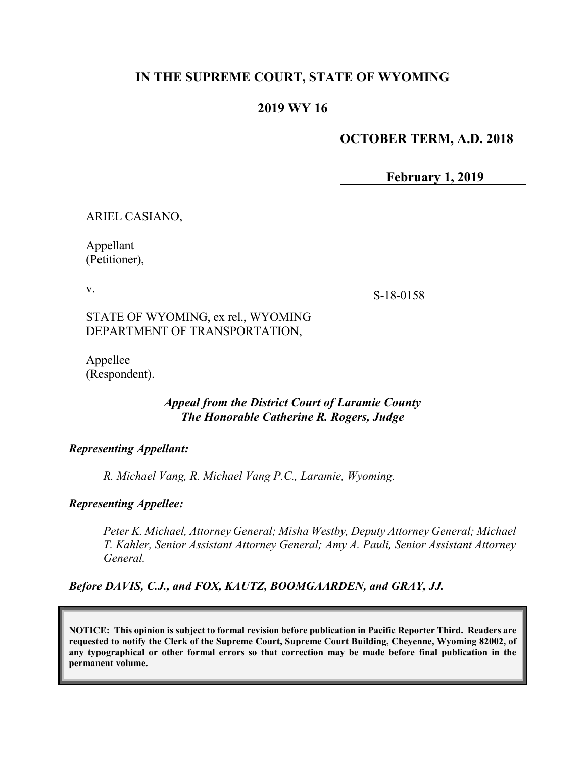# IN THE SUPREME COURT, STATE OF WYOMING

# 2019 WY 16

# OCTOBER TERM, A.D. 2018

February 1, 2019

ARIEL CASIANO,

Appellant (Petitioner),

v.

S-18-0158

STATE OF WYOMING, ex rel., WYOMING DEPARTMENT OF TRANSPORTATION,

Appellee (Respondent).

## Appeal from the District Court of Laramie County The Honorable Catherine R. Rogers, Judge

#### Representing Appellant:

R. Michael Vang, R. Michael Vang P.C., Laramie, Wyoming.

#### Representing Appellee:

Peter K. Michael, Attorney General; Misha Westby, Deputy Attorney General; Michael T. Kahler, Senior Assistant Attorney General; Amy A. Pauli, Senior Assistant Attorney General.

Before DAVIS, C.J., and FOX, KAUTZ, BOOMGAARDEN, and GRAY, JJ.

NOTICE: This opinion is subject to formal revision before publication in Pacific Reporter Third. Readers are requested to notify the Clerk of the Supreme Court, Supreme Court Building, Cheyenne, Wyoming 82002, of any typographical or other formal errors so that correction may be made before final publication in the permanent volume.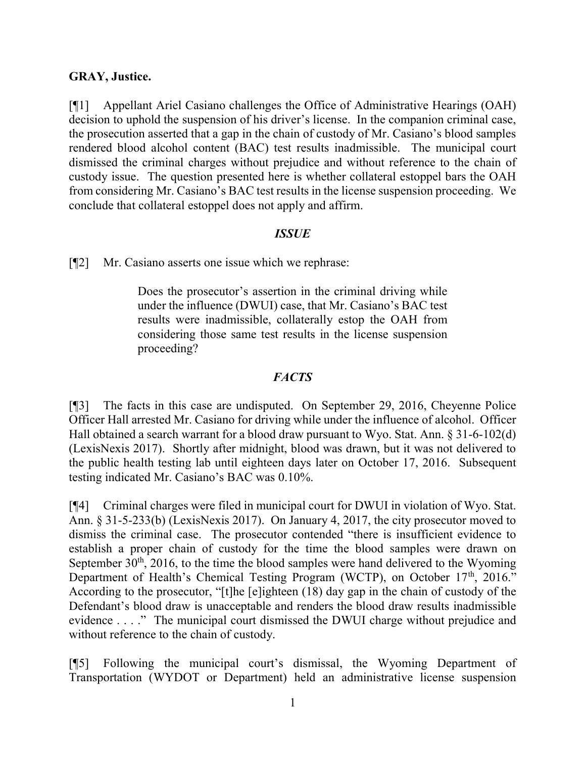## GRAY, Justice.

[¶1] Appellant Ariel Casiano challenges the Office of Administrative Hearings (OAH) decision to uphold the suspension of his driver's license. In the companion criminal case, the prosecution asserted that a gap in the chain of custody of Mr. Casiano's blood samples rendered blood alcohol content (BAC) test results inadmissible. The municipal court dismissed the criminal charges without prejudice and without reference to the chain of custody issue. The question presented here is whether collateral estoppel bars the OAH from considering Mr. Casiano's BAC test results in the license suspension proceeding. We conclude that collateral estoppel does not apply and affirm.

## **ISSUE**

[¶2] Mr. Casiano asserts one issue which we rephrase:

Does the prosecutor's assertion in the criminal driving while under the influence (DWUI) case, that Mr. Casiano's BAC test results were inadmissible, collaterally estop the OAH from considering those same test results in the license suspension proceeding?

## **FACTS**

[¶3] The facts in this case are undisputed. On September 29, 2016, Cheyenne Police Officer Hall arrested Mr. Casiano for driving while under the influence of alcohol. Officer Hall obtained a search warrant for a blood draw pursuant to Wyo. Stat. Ann. § 31-6-102(d) (LexisNexis 2017). Shortly after midnight, blood was drawn, but it was not delivered to the public health testing lab until eighteen days later on October 17, 2016. Subsequent testing indicated Mr. Casiano's BAC was 0.10%.

[¶4] Criminal charges were filed in municipal court for DWUI in violation of Wyo. Stat. Ann. § 31-5-233(b) (LexisNexis 2017). On January 4, 2017, the city prosecutor moved to dismiss the criminal case. The prosecutor contended "there is insufficient evidence to establish a proper chain of custody for the time the blood samples were drawn on September  $30<sup>th</sup>$ ,  $2016$ , to the time the blood samples were hand delivered to the Wyoming Department of Health's Chemical Testing Program (WCTP), on October 17<sup>th</sup>, 2016." According to the prosecutor, "[t]he [e]ighteen (18) day gap in the chain of custody of the Defendant's blood draw is unacceptable and renders the blood draw results inadmissible evidence . . . ." The municipal court dismissed the DWUI charge without prejudice and without reference to the chain of custody.

[¶5] Following the municipal court's dismissal, the Wyoming Department of Transportation (WYDOT or Department) held an administrative license suspension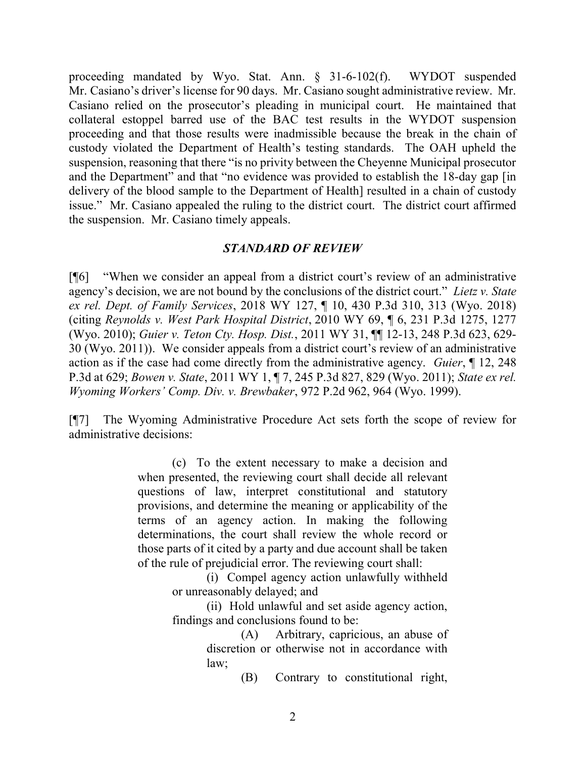proceeding mandated by Wyo. Stat. Ann. § 31-6-102(f). WYDOT suspended Mr. Casiano's driver's license for 90 days. Mr. Casiano sought administrative review. Mr. Casiano relied on the prosecutor's pleading in municipal court. He maintained that collateral estoppel barred use of the BAC test results in the WYDOT suspension proceeding and that those results were inadmissible because the break in the chain of custody violated the Department of Health's testing standards. The OAH upheld the suspension, reasoning that there "is no privity between the Cheyenne Municipal prosecutor and the Department" and that "no evidence was provided to establish the 18-day gap [in delivery of the blood sample to the Department of Health] resulted in a chain of custody issue." Mr. Casiano appealed the ruling to the district court. The district court affirmed the suspension. Mr. Casiano timely appeals.

## STANDARD OF REVIEW

[¶6] "When we consider an appeal from a district court's review of an administrative agency's decision, we are not bound by the conclusions of the district court." Lietz v. State ex rel. Dept. of Family Services, 2018 WY 127, ¶ 10, 430 P.3d 310, 313 (Wyo. 2018) (citing Reynolds v. West Park Hospital District, 2010 WY 69, ¶ 6, 231 P.3d 1275, 1277 (Wyo. 2010); Guier v. Teton Cty. Hosp. Dist., 2011 WY 31, ¶¶ 12-13, 248 P.3d 623, 629- 30 (Wyo. 2011)). We consider appeals from a district court's review of an administrative action as if the case had come directly from the administrative agency. Guier, ¶ 12, 248 P.3d at 629; Bowen v. State, 2011 WY 1, ¶ 7, 245 P.3d 827, 829 (Wyo. 2011); State ex rel. Wyoming Workers' Comp. Div. v. Brewbaker, 972 P.2d 962, 964 (Wyo. 1999).

[¶7] The Wyoming Administrative Procedure Act sets forth the scope of review for administrative decisions:

> (c) To the extent necessary to make a decision and when presented, the reviewing court shall decide all relevant questions of law, interpret constitutional and statutory provisions, and determine the meaning or applicability of the terms of an agency action. In making the following determinations, the court shall review the whole record or those parts of it cited by a party and due account shall be taken of the rule of prejudicial error. The reviewing court shall:

(i) Compel agency action unlawfully withheld or unreasonably delayed; and

(ii) Hold unlawful and set aside agency action, findings and conclusions found to be:

> (A) Arbitrary, capricious, an abuse of discretion or otherwise not in accordance with law;

> > (B) Contrary to constitutional right,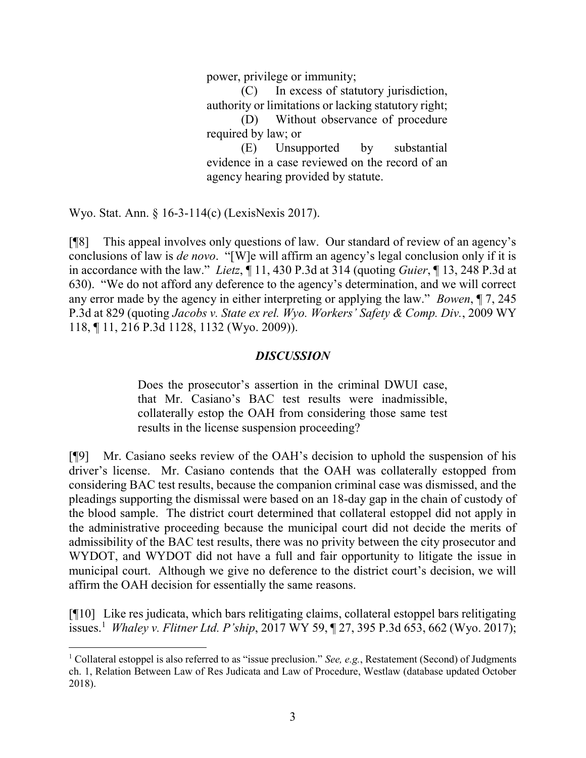power, privilege or immunity;

(C) In excess of statutory jurisdiction, authority or limitations or lacking statutory right; (D) Without observance of procedure

required by law; or

(E) Unsupported by substantial evidence in a case reviewed on the record of an agency hearing provided by statute.

Wyo. Stat. Ann. § 16-3-114(c) (LexisNexis 2017).

 $\overline{a}$ 

[¶8] This appeal involves only questions of law. Our standard of review of an agency's conclusions of law is *de novo*. "[W]e will affirm an agency's legal conclusion only if it is in accordance with the law." Lietz,  $\P$  11, 430 P.3d at 314 (quoting Guier,  $\P$  13, 248 P.3d at 630). "We do not afford any deference to the agency's determination, and we will correct any error made by the agency in either interpreting or applying the law." Bowen, ¶ 7, 245 P.3d at 829 (quoting Jacobs v. State ex rel. Wyo. Workers' Safety & Comp. Div., 2009 WY 118, ¶ 11, 216 P.3d 1128, 1132 (Wyo. 2009)).

#### **DISCUSSION**

Does the prosecutor's assertion in the criminal DWUI case, that Mr. Casiano's BAC test results were inadmissible, collaterally estop the OAH from considering those same test results in the license suspension proceeding?

[¶9] Mr. Casiano seeks review of the OAH's decision to uphold the suspension of his driver's license. Mr. Casiano contends that the OAH was collaterally estopped from considering BAC test results, because the companion criminal case was dismissed, and the pleadings supporting the dismissal were based on an 18-day gap in the chain of custody of the blood sample. The district court determined that collateral estoppel did not apply in the administrative proceeding because the municipal court did not decide the merits of admissibility of the BAC test results, there was no privity between the city prosecutor and WYDOT, and WYDOT did not have a full and fair opportunity to litigate the issue in municipal court. Although we give no deference to the district court's decision, we will affirm the OAH decision for essentially the same reasons.

[¶10] Like res judicata, which bars relitigating claims, collateral estoppel bars relitigating issues.<sup>1</sup> Whaley v. Flitner Ltd. P'ship, 2017 WY 59,  $\S$  27, 395 P.3d 653, 662 (Wyo. 2017);

<sup>&</sup>lt;sup>1</sup> Collateral estoppel is also referred to as "issue preclusion." See, e.g., Restatement (Second) of Judgments ch. 1, Relation Between Law of Res Judicata and Law of Procedure, Westlaw (database updated October 2018).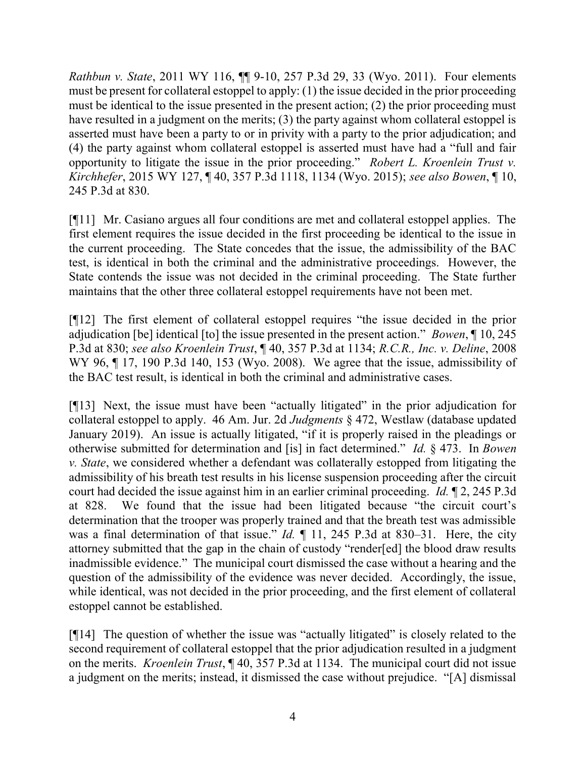Rathbun v. State, 2011 WY 116, ¶¶ 9-10, 257 P.3d 29, 33 (Wyo. 2011). Four elements must be present for collateral estoppel to apply: (1) the issue decided in the prior proceeding must be identical to the issue presented in the present action; (2) the prior proceeding must have resulted in a judgment on the merits; (3) the party against whom collateral estoppel is asserted must have been a party to or in privity with a party to the prior adjudication; and (4) the party against whom collateral estoppel is asserted must have had a "full and fair opportunity to litigate the issue in the prior proceeding." Robert L. Kroenlein Trust v. Kirchhefer, 2015 WY 127, ¶ 40, 357 P.3d 1118, 1134 (Wyo. 2015); see also Bowen, ¶ 10, 245 P.3d at 830.

[¶11] Mr. Casiano argues all four conditions are met and collateral estoppel applies. The first element requires the issue decided in the first proceeding be identical to the issue in the current proceeding. The State concedes that the issue, the admissibility of the BAC test, is identical in both the criminal and the administrative proceedings. However, the State contends the issue was not decided in the criminal proceeding. The State further maintains that the other three collateral estoppel requirements have not been met.

[¶12] The first element of collateral estoppel requires "the issue decided in the prior adjudication [be] identical [to] the issue presented in the present action." *Bowen*, ¶ 10, 245 P.3d at 830; see also Kroenlein Trust, ¶ 40, 357 P.3d at 1134; R.C.R., Inc. v. Deline, 2008 WY 96,  $\P$  17, 190 P.3d 140, 153 (Wyo. 2008). We agree that the issue, admissibility of the BAC test result, is identical in both the criminal and administrative cases.

[¶13] Next, the issue must have been "actually litigated" in the prior adjudication for collateral estoppel to apply. 46 Am. Jur. 2d Judgments § 472, Westlaw (database updated January 2019). An issue is actually litigated, "if it is properly raised in the pleadings or otherwise submitted for determination and [is] in fact determined." Id. § 473. In Bowen  $v.$  State, we considered whether a defendant was collaterally estopped from litigating the admissibility of his breath test results in his license suspension proceeding after the circuit court had decided the issue against him in an earlier criminal proceeding. Id. ¶ 2, 245 P.3d at 828. We found that the issue had been litigated because "the circuit court's determination that the trooper was properly trained and that the breath test was admissible was a final determination of that issue." *Id.*  $\llbracket$  11, 245 P.3d at 830–31. Here, the city attorney submitted that the gap in the chain of custody "render[ed] the blood draw results inadmissible evidence." The municipal court dismissed the case without a hearing and the question of the admissibility of the evidence was never decided. Accordingly, the issue, while identical, was not decided in the prior proceeding, and the first element of collateral estoppel cannot be established.

[¶14] The question of whether the issue was "actually litigated" is closely related to the second requirement of collateral estoppel that the prior adjudication resulted in a judgment on the merits. Kroenlein Trust, ¶ 40, 357 P.3d at 1134. The municipal court did not issue a judgment on the merits; instead, it dismissed the case without prejudice. "[A] dismissal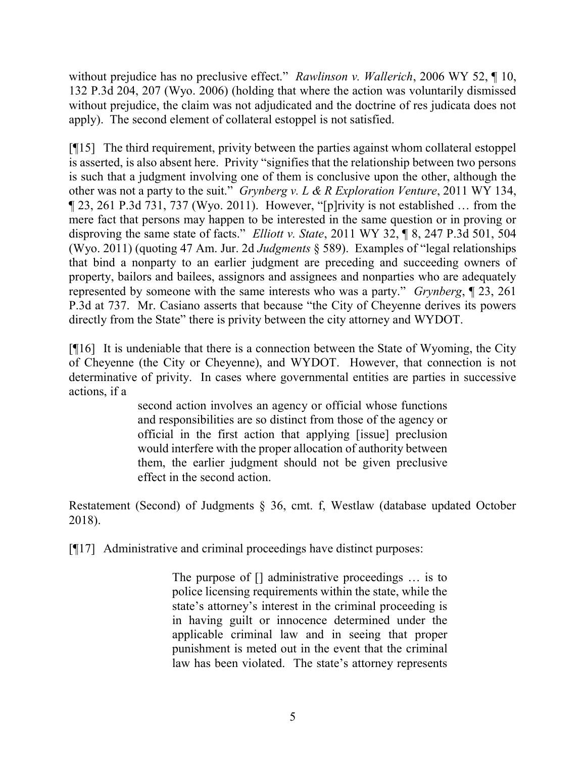without prejudice has no preclusive effect." Rawlinson v. Wallerich, 2006 WY 52, ¶ 10, 132 P.3d 204, 207 (Wyo. 2006) (holding that where the action was voluntarily dismissed without prejudice, the claim was not adjudicated and the doctrine of res judicata does not apply). The second element of collateral estoppel is not satisfied.

[¶15] The third requirement, privity between the parties against whom collateral estoppel is asserted, is also absent here. Privity "signifies that the relationship between two persons is such that a judgment involving one of them is conclusive upon the other, although the other was not a party to the suit." Grynberg v. L & R Exploration Venture, 2011 WY 134, ¶ 23, 261 P.3d 731, 737 (Wyo. 2011). However, "[p]rivity is not established … from the mere fact that persons may happen to be interested in the same question or in proving or disproving the same state of facts." *Elliott v. State*, 2011 WY 32, ¶ 8, 247 P.3d 501, 504 (Wyo. 2011) (quoting 47 Am. Jur. 2d *Judgments*  $\S$  589). Examples of "legal relationships that bind a nonparty to an earlier judgment are preceding and succeeding owners of property, bailors and bailees, assignors and assignees and nonparties who are adequately represented by someone with the same interests who was a party." Grynberg, ¶ 23, 261 P.3d at 737. Mr. Casiano asserts that because "the City of Cheyenne derives its powers directly from the State" there is privity between the city attorney and WYDOT.

[¶16] It is undeniable that there is a connection between the State of Wyoming, the City of Cheyenne (the City or Cheyenne), and WYDOT. However, that connection is not determinative of privity. In cases where governmental entities are parties in successive actions, if a

> second action involves an agency or official whose functions and responsibilities are so distinct from those of the agency or official in the first action that applying [issue] preclusion would interfere with the proper allocation of authority between them, the earlier judgment should not be given preclusive effect in the second action.

Restatement (Second) of Judgments § 36, cmt. f, Westlaw (database updated October 2018).

[¶17] Administrative and criminal proceedings have distinct purposes:

The purpose of  $\Box$  administrative proceedings ... is to police licensing requirements within the state, while the state's attorney's interest in the criminal proceeding is in having guilt or innocence determined under the applicable criminal law and in seeing that proper punishment is meted out in the event that the criminal law has been violated. The state's attorney represents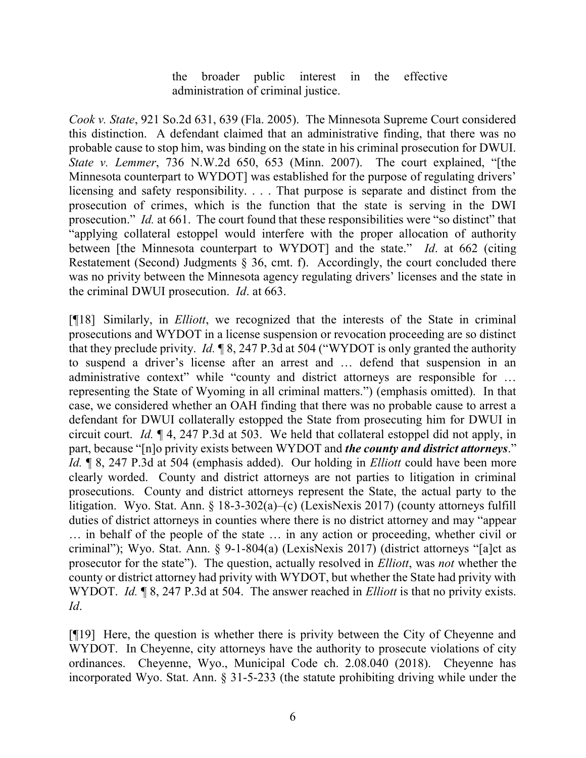the broader public interest in the effective administration of criminal justice.

Cook v. State, 921 So.2d 631, 639 (Fla. 2005). The Minnesota Supreme Court considered this distinction. A defendant claimed that an administrative finding, that there was no probable cause to stop him, was binding on the state in his criminal prosecution for DWUI. State v. Lemmer, 736 N.W.2d 650, 653 (Minn. 2007). The court explained, "[the Minnesota counterpart to WYDOT] was established for the purpose of regulating drivers' licensing and safety responsibility. . . . That purpose is separate and distinct from the prosecution of crimes, which is the function that the state is serving in the DWI prosecution." Id. at 661. The court found that these responsibilities were "so distinct" that "applying collateral estoppel would interfere with the proper allocation of authority between [the Minnesota counterpart to WYDOT] and the state." Id. at 662 (citing Restatement (Second) Judgments § 36, cmt. f). Accordingly, the court concluded there was no privity between the Minnesota agency regulating drivers' licenses and the state in the criminal DWUI prosecution. Id. at 663.

[¶18] Similarly, in Elliott, we recognized that the interests of the State in criminal prosecutions and WYDOT in a license suspension or revocation proceeding are so distinct that they preclude privity. Id.  $\llbracket 8, 247 \rbrack 3$  at 504 ("WYDOT is only granted the authority to suspend a driver's license after an arrest and … defend that suspension in an administrative context" while "county and district attorneys are responsible for ... representing the State of Wyoming in all criminal matters.") (emphasis omitted). In that case, we considered whether an OAH finding that there was no probable cause to arrest a defendant for DWUI collaterally estopped the State from prosecuting him for DWUI in circuit court. Id. ¶ 4, 247 P.3d at 503. We held that collateral estoppel did not apply, in part, because "[n]o privity exists between WYDOT and *the county and district attorneys*." Id. ¶ 8, 247 P.3d at 504 (emphasis added). Our holding in *Elliott* could have been more clearly worded. County and district attorneys are not parties to litigation in criminal prosecutions. County and district attorneys represent the State, the actual party to the litigation. Wyo. Stat. Ann. § 18-3-302(a)–(c) (LexisNexis 2017) (county attorneys fulfill duties of district attorneys in counties where there is no district attorney and may "appear … in behalf of the people of the state … in any action or proceeding, whether civil or criminal"); Wyo. Stat. Ann. § 9-1-804(a) (LexisNexis 2017) (district attorneys "[a]ct as prosecutor for the state"). The question, actually resolved in *Elliott*, was *not* whether the county or district attorney had privity with WYDOT, but whether the State had privity with WYDOT. *Id.* 18, 247 P.3d at 504. The answer reached in *Elliott* is that no privity exists. Id.

[¶19] Here, the question is whether there is privity between the City of Cheyenne and WYDOT. In Cheyenne, city attorneys have the authority to prosecute violations of city ordinances. Cheyenne, Wyo., Municipal Code ch. 2.08.040 (2018). Cheyenne has incorporated Wyo. Stat. Ann. § 31-5-233 (the statute prohibiting driving while under the